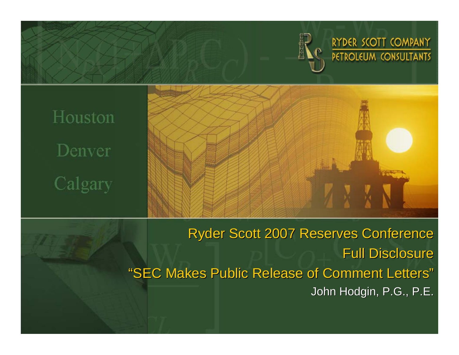

RYDER SCOTT COMPANY **PETROLEUM CONSULTANTS** 

Houston Denver Calgary

> Ryder Scott 2007 Reserves Conference Full Disclosure "SEC Makes Public Release of Comment Letters "John Hodgin, P.G., P.E.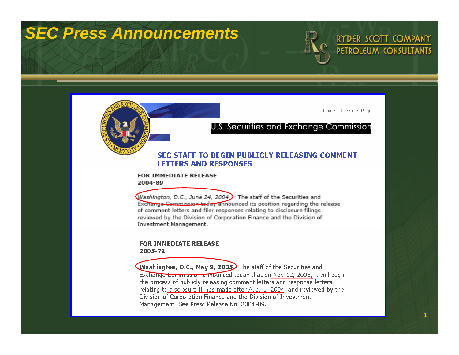# *SEC Press Announcements*



RYDER SCOTT COMPANY PETROLEUM CONSULTANTS

1

Home | Previous Page

#### U.S. Securities and Exchange Commission

#### SEC STAFF TO BEGIN PUBLICLY RELEASING COMMENT **LETTERS AND RESPONSES**

#### FOR IMMEDIATE RELEASE 2004-89

Washington, D.C., June 24, 2004  $\rightarrow$  The staff of the Securities and Exchange Commission today announced its position regarding the release of comment letters and filer responses relating to disclosure filings reviewed by the Division of Corporation Finance and the Division of Investment Management.

#### **FOR IMMEDIATE RELEASE** 2005-72

**Washington, D.C., May 9, 2005** The staff of the Securities and Exchange Commission announced today that on May 12, 2005, it will begin the process of publicly releasing comment letters and response letters relating to disclosure filings made after Aug. 1, 2004, and reviewed by the Division of Corporation Finance and the Division of Investment Management. See Press Release No. 2004-89.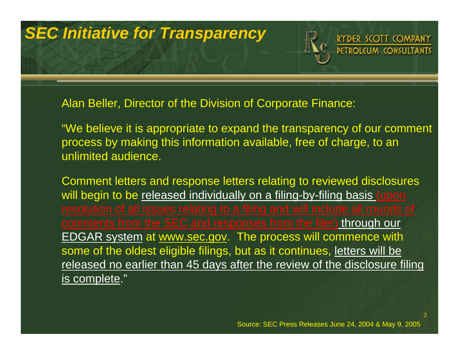# *SEC Initiative for Transparency*

RYDER SCOTT COMPANY PETROLEUM CONSULTANTS

Alan Beller, Director of the Division of Corporate Finance:

"We believe it is appropriate to expand the transparency of our comment process by making this information available, free of charge, to an unlimited audience.

Comment letters and response letters relating to reviewed disclosures will begin to be released individually on a filing-by-filing basis (upon comments from the SEC and responses from the filer) through our EDGAR system at www.sec.gov. The process will commence with some of the oldest eligible filings, but as it continues, letters will be released no earlier than 45 days after the review of the disclosure filing is complete."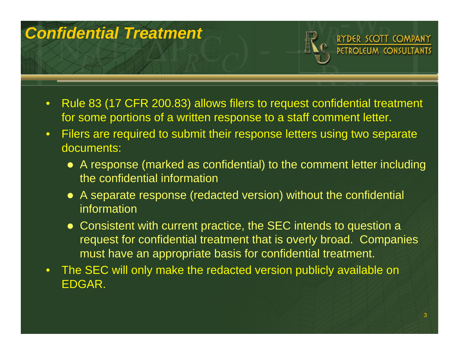# *Confidential Treatment*



- $\bullet$  Rule 83 (17 CFR 200.83) allows filers to request confidential treatment for some portions of a written response to a staff comment letter.
- $\bullet$  Filers are required to submit their response letters using two separate documents:
	- A response (marked as confidential) to the comment letter including the confidential information
	- A separate response (redacted version) without the confidential information
	- Consistent with current practice, the SEC intends to question a request for confidential treatment that is overly broad. Companies must have an appropriate basis for confidential treatment.
- $\bullet$  The SEC will only make the redacted version publicly available on EDGAR.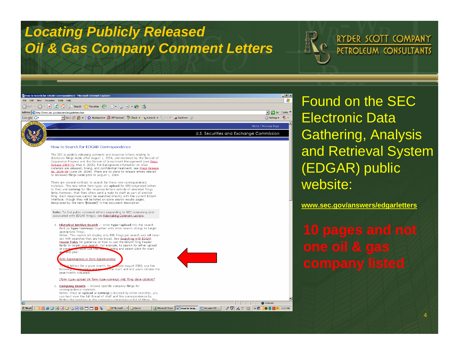### *Locating Publicly Released Oil & Gas Company Comment Letters*

RYDER SCOTT COMPANY PETROLEUM CONSULTANTS



Found on the SEC Electronic Data Gathering, Analysis and Retrieval System (EDGAR) public website:

**www.sec.gov/answers/edgarletters**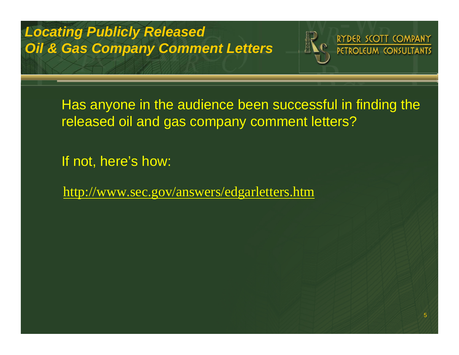#### *Locating Publicly Released Oil & Gas Company Comment Letters*



Has anyone in the audience been successful in finding the released oil and gas company comment letters?

If not, here's how:

http://www.sec.gov/answers/edgarletters.htm